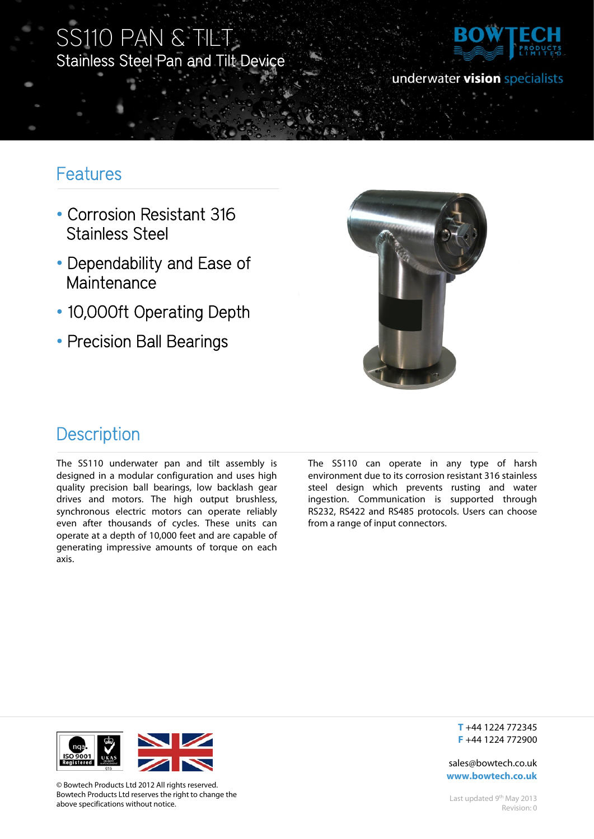# SS110 PAN & TILT Stainless Steel Pan and Tilt Device



### underwater vision specialists

## Features

Ī

- Corrosion Resistant 316 Stainless Steel
- Dependability and Ease of Maintenance
- 10,000ft Operating Depth
- Precision Ball Bearings



### **Description**

The SS110 underwater pan and tilt assembly is designed in a modular configuration and uses high quality precision ball bearings, low backlash gear drives and motors. The high output brushless, synchronous electric motors can operate reliably even after thousands of cycles. These units can operate at a depth of 10,000 feet and are capable of generating impressive amounts of torque on each axis.

The SS110 can operate in any type of harsh environment due to its corrosion resistant 316 stainless steel design which prevents rusting and water ingestion. Communication is supported through RS232, RS422 and RS485 protocols. Users can choose from a range of input connectors.



© Bowtech Products Ltd 2012 All rights reserved. Bowtech Products Ltd reserves the right to change the above specifications without notice.

**T** +44 1224 772345 **F** +44 1224 772900

sales@bowtech.co.uk **www.bowtech.co.uk**

Last updated 9<sup>th</sup> May 2013 Revision: 0